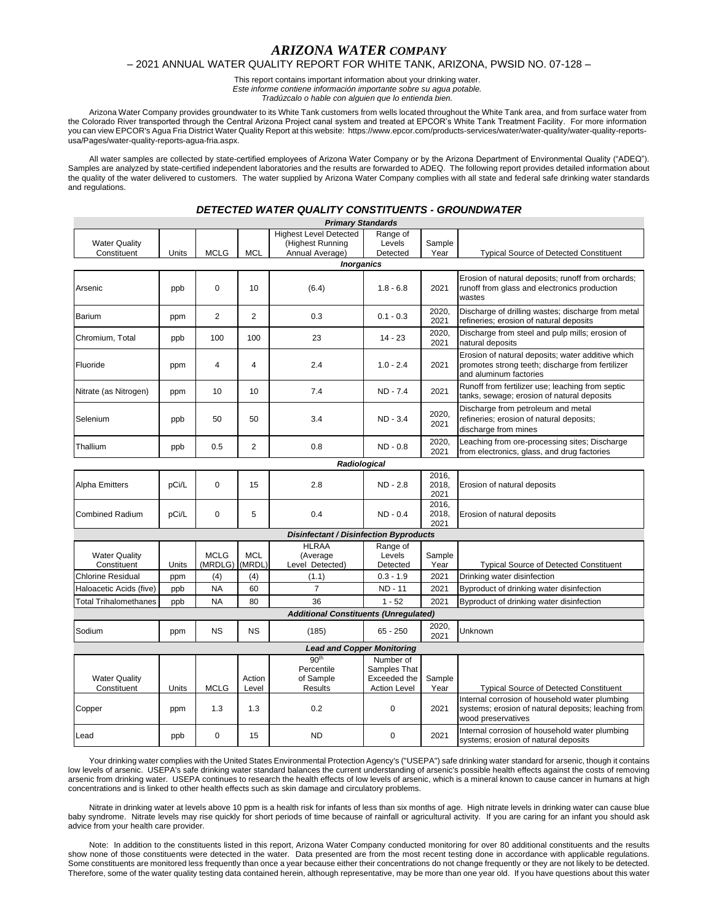# *ARIZONA WATER COMPANY*

## – 2021 ANNUAL WATER QUALITY REPORT FOR WHITE TANK, ARIZONA, PWSID NO. 07-128 –

This report contains important information about your drinking water. *Este informe contiene información importante sobre su agua potable.*

*Tradúzcalo o hable con alguien que lo entienda bien.*

Arizona Water Company provides groundwater to its White Tank customers from wells located throughout the White Tank area, and from surface water from the Colorado River transported through the Central Arizona Project canal system and treated at EPCOR's White Tank Treatment Facility.For more information you can view EPCOR's Agua Fria District Water Quality Report at this website: https://www.epcor.com/products-services/water/water-quality/water-quality-reportsusa/Pages/water-quality-reports-agua-fria.aspx.

All water samples are collected by state-certified employees of Arizona Water Company or by the Arizona Department of Environmental Quality ("ADEQ"). Samples are analyzed by state-certified independent laboratories and the results are forwarded to ADEQ. The following report provides detailed information about the quality of the water delivered to customers. The water supplied by Arizona Water Company complies with all state and federal safe drinking water standards and regulations.

### *DETECTED WATER QUALITY CONSTITUENTS - GROUNDWATER*

| <b>Primary Standards</b>                      |              |                               |                 |                                                                      |                                     |                        |                                                                                                                                 |  |  |  |
|-----------------------------------------------|--------------|-------------------------------|-----------------|----------------------------------------------------------------------|-------------------------------------|------------------------|---------------------------------------------------------------------------------------------------------------------------------|--|--|--|
| <b>Water Quality</b><br>Constituent           | Units        | <b>MCLG</b>                   | <b>MCL</b>      | <b>Highest Level Detected</b><br>(Highest Running<br>Annual Average) | Range of<br>Levels<br>Detected      | Sample<br>Year         | <b>Typical Source of Detected Constituent</b>                                                                                   |  |  |  |
| <b>Inorganics</b>                             |              |                               |                 |                                                                      |                                     |                        |                                                                                                                                 |  |  |  |
| Arsenic                                       | ppb          | $\Omega$                      | 10              | (6.4)                                                                | $1.8 - 6.8$                         | 2021                   | Erosion of natural deposits; runoff from orchards;<br>runoff from glass and electronics production<br>wastes                    |  |  |  |
| Barium                                        | ppm          | $\overline{2}$                | $\overline{2}$  | 0.3                                                                  | $0.1 - 0.3$                         | 2020,<br>2021          | Discharge of drilling wastes; discharge from metal<br>refineries; erosion of natural deposits                                   |  |  |  |
| Chromium, Total                               | ppb          | 100                           | 100             | 23                                                                   | $14 - 23$                           | 2020.<br>2021          | Discharge from steel and pulp mills; erosion of<br>natural deposits                                                             |  |  |  |
| Fluoride                                      | ppm          | 4                             | 4               | 2.4                                                                  | $1.0 - 2.4$                         | 2021                   | Erosion of natural deposits; water additive which<br>promotes strong teeth; discharge from fertilizer<br>and aluminum factories |  |  |  |
| Nitrate (as Nitrogen)                         | ppm          | 10                            | 10              | 7.4                                                                  | ND - 7.4                            | 2021                   | Runoff from fertilizer use; leaching from septic<br>tanks, sewage; erosion of natural deposits                                  |  |  |  |
| Selenium                                      | ppb          | 50                            | 50              | 3.4                                                                  | $ND - 3.4$                          | 2020.<br>2021          | Discharge from petroleum and metal<br>refineries; erosion of natural deposits;<br>discharge from mines                          |  |  |  |
| Thallium                                      | ppb          | 0.5                           | $\overline{2}$  | 0.8                                                                  | $ND - 0.8$                          | 2020,<br>2021          | Leaching from ore-processing sites; Discharge<br>from electronics, glass, and drug factories                                    |  |  |  |
|                                               | Radiological |                               |                 |                                                                      |                                     |                        |                                                                                                                                 |  |  |  |
| <b>Alpha Emitters</b>                         | pCi/L        | 0                             | 15              | 2.8                                                                  | ND - 2.8                            | 2016,<br>2018,<br>2021 | Erosion of natural deposits                                                                                                     |  |  |  |
| <b>Combined Radium</b>                        | pCi/L        | 0                             | 5               | 0.4                                                                  | $ND - 0.4$                          | 2016,<br>2018,<br>2021 | Erosion of natural deposits                                                                                                     |  |  |  |
| <b>Disinfectant / Disinfection Byproducts</b> |              |                               |                 |                                                                      |                                     |                        |                                                                                                                                 |  |  |  |
| <b>Water Quality</b><br>Constituent           | Units        | <b>MCLG</b><br>(MRDLG) (MRDL) | <b>MCL</b>      | <b>HLRAA</b><br>(Average<br>Level Detected)                          | Range of<br>Levels<br>Detected      | Sample<br>Year         | <b>Typical Source of Detected Constituent</b>                                                                                   |  |  |  |
| <b>Chlorine Residual</b>                      | ppm          | (4)                           | (4)             | (1.1)                                                                | $0.3 - 1.9$                         | 2021                   | Drinking water disinfection                                                                                                     |  |  |  |
| Haloacetic Acids (five)                       | ppb          | <b>NA</b>                     | 60              | $\overline{7}$                                                       | ND - 11                             | 2021                   | Byproduct of drinking water disinfection                                                                                        |  |  |  |
| <b>Total Trihalomethanes</b>                  | ppb          | <b>NA</b>                     | 80              | 36                                                                   | $1 - 52$                            | 2021                   | Byproduct of drinking water disinfection                                                                                        |  |  |  |
|                                               |              |                               |                 | <b>Additional Constituents (Unregulated)</b>                         |                                     |                        |                                                                                                                                 |  |  |  |
| Sodium                                        | ppm          | <b>NS</b>                     | NS              | (185)                                                                | $65 - 250$                          | 2020,<br>2021          | Unknown                                                                                                                         |  |  |  |
| <b>Lead and Copper Monitoring</b>             |              |                               |                 |                                                                      |                                     |                        |                                                                                                                                 |  |  |  |
|                                               |              |                               |                 | 90 <sup>th</sup>                                                     | Number of                           |                        |                                                                                                                                 |  |  |  |
|                                               |              |                               |                 | Percentile                                                           | Samples That                        |                        |                                                                                                                                 |  |  |  |
| <b>Water Quality</b><br>Constituent           | Units        | <b>MCLG</b>                   | Action<br>Level | of Sample<br><b>Results</b>                                          | Exceeded the<br><b>Action Level</b> | Sample<br>Year         | <b>Typical Source of Detected Constituent</b>                                                                                   |  |  |  |
| Copper                                        | ppm          | 1.3                           | 1.3             | 0.2                                                                  | $\mathbf 0$                         | 2021                   | Internal corrosion of household water plumbing<br>systems; erosion of natural deposits; leaching from<br>wood preservatives     |  |  |  |
| Lead                                          | ppb          | 0                             | 15              | <b>ND</b>                                                            | $\Omega$                            | 2021                   | Internal corrosion of household water plumbing<br>systems; erosion of natural deposits                                          |  |  |  |

Your drinking water complies with the United States Environmental Protection Agency's ("USEPA") safe drinking water standard for arsenic, though it contains low levels of arsenic. USEPA's safe drinking water standard balances the current understanding of arsenic's possible health effects against the costs of removing arsenic from drinking water. USEPA continues to research the health effects of low levels of arsenic, which is a mineral known to cause cancer in humans at high concentrations and is linked to other health effects such as skin damage and circulatory problems.

Nitrate in drinking water at levels above 10 ppm is a health risk for infants of less than six months of age. High nitrate levels in drinking water can cause blue baby syndrome. Nitrate levels may rise quickly for short periods of time because of rainfall or agricultural activity. If you are caring for an infant you should ask advice from your health care provider.

Note: In addition to the constituents listed in this report, Arizona Water Company conducted monitoring for over 80 additional constituents and the results show none of those constituents were detected in the water. Data presented are from the most recent testing done in accordance with applicable regulations. Some constituents are monitored less frequently than once a year because either their concentrations do not change frequently or they are not likely to be detected. Therefore, some of the water quality testing data contained herein, although representative, may be more than one year old. If you have questions about this water